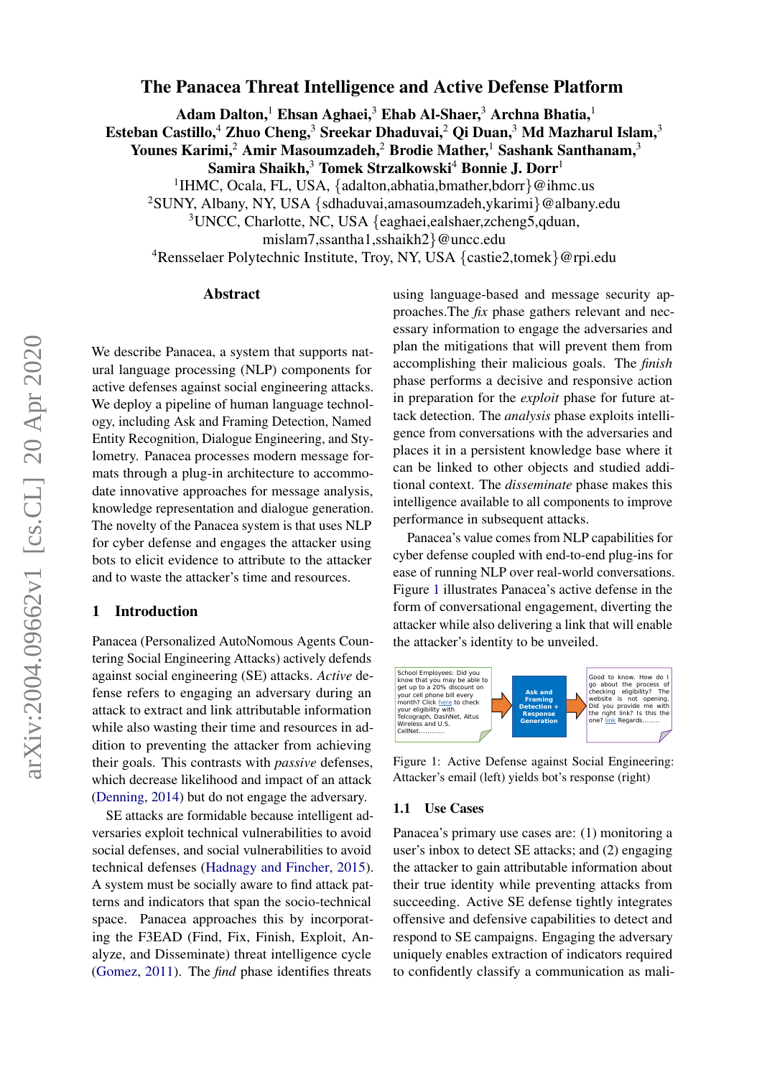# The Panacea Threat Intelligence and Active Defense Platform

Adam Dalton,<sup>1</sup> Ehsan Aghaei,<sup>3</sup> Ehab Al-Shaer,<sup>3</sup> Archna Bhatia,<sup>1</sup>

Esteban Castillo,<sup>4</sup> Zhuo Cheng,<sup>3</sup> Sreekar Dhaduvai,<sup>2</sup> Qi Duan,<sup>3</sup> Md Mazharul Islam,<sup>3</sup>

Younes Karimi,<sup>2</sup> Amir Masoumzadeh,<sup>2</sup> Brodie Mather,<sup>1</sup> Sashank Santhanam,<sup>3</sup>

Samira Shaikh, $3$  Tomek Strzalkowski<sup>4</sup> Bonnie J. Dorr<sup>1</sup>

<sup>1</sup>IHMC, Ocala, FL, USA, {adalton,abhatia,bmather,bdorr}@ihmc.us

<sup>2</sup>SUNY, Albany, NY, USA {sdhaduvai,amasoumzadeh,ykarimi}@albany.edu

<sup>3</sup>UNCC, Charlotte, NC, USA {eaghaei,ealshaer,zcheng5,qduan,

mislam7,ssantha1,sshaikh2}@uncc.edu

<sup>4</sup>Rensselaer Polytechnic Institute, Troy, NY, USA {castie2,tomek}@rpi.edu

### Abstract

We describe Panacea, a system that supports natural language processing (NLP) components for active defenses against social engineering attacks. We deploy a pipeline of human language technology, including Ask and Framing Detection, Named Entity Recognition, Dialogue Engineering, and Stylometry. Panacea processes modern message formats through a plug-in architecture to accommodate innovative approaches for message analysis, knowledge representation and dialogue generation. The novelty of the Panacea system is that uses NLP for cyber defense and engages the attacker using bots to elicit evidence to attribute to the attacker and to waste the attacker's time and resources.

# 1 Introduction

Panacea (Personalized AutoNomous Agents Countering Social Engineering Attacks) actively defends against social engineering (SE) attacks. *Active* defense refers to engaging an adversary during an attack to extract and link attributable information while also wasting their time and resources in addition to preventing the attacker from achieving their goals. This contrasts with *passive* defenses, which decrease likelihood and impact of an attack [\(Denning,](#page-6-0) [2014\)](#page-6-0) but do not engage the adversary.

SE attacks are formidable because intelligent adversaries exploit technical vulnerabilities to avoid social defenses, and social vulnerabilities to avoid technical defenses [\(Hadnagy and Fincher,](#page-6-1) [2015\)](#page-6-1). A system must be socially aware to find attack patterns and indicators that span the socio-technical space. Panacea approaches this by incorporating the F3EAD (Find, Fix, Finish, Exploit, Analyze, and Disseminate) threat intelligence cycle [\(Gomez,](#page-6-2) [2011\)](#page-6-2). The *find* phase identifies threats

using language-based and message security approaches.The *fix* phase gathers relevant and necessary information to engage the adversaries and plan the mitigations that will prevent them from accomplishing their malicious goals. The *finish* phase performs a decisive and responsive action in preparation for the *exploit* phase for future attack detection. The *analysis* phase exploits intelligence from conversations with the adversaries and places it in a persistent knowledge base where it can be linked to other objects and studied additional context. The *disseminate* phase makes this intelligence available to all components to improve performance in subsequent attacks.

Panacea's value comes from NLP capabilities for cyber defense coupled with end-to-end plug-ins for ease of running NLP over real-world conversations. Figure [1](#page-0-0) illustrates Panacea's active defense in the form of conversational engagement, diverting the attacker while also delivering a link that will enable the attacker's identity to be unveiled.

<span id="page-0-0"></span>

Figure 1: Active Defense against Social Engineering: Attacker's email (left) yields bot's response (right)

#### 1.1 Use Cases

Panacea's primary use cases are: (1) monitoring a user's inbox to detect SE attacks; and (2) engaging the attacker to gain attributable information about their true identity while preventing attacks from succeeding. Active SE defense tightly integrates offensive and defensive capabilities to detect and respond to SE campaigns. Engaging the adversary uniquely enables extraction of indicators required to confidently classify a communication as mali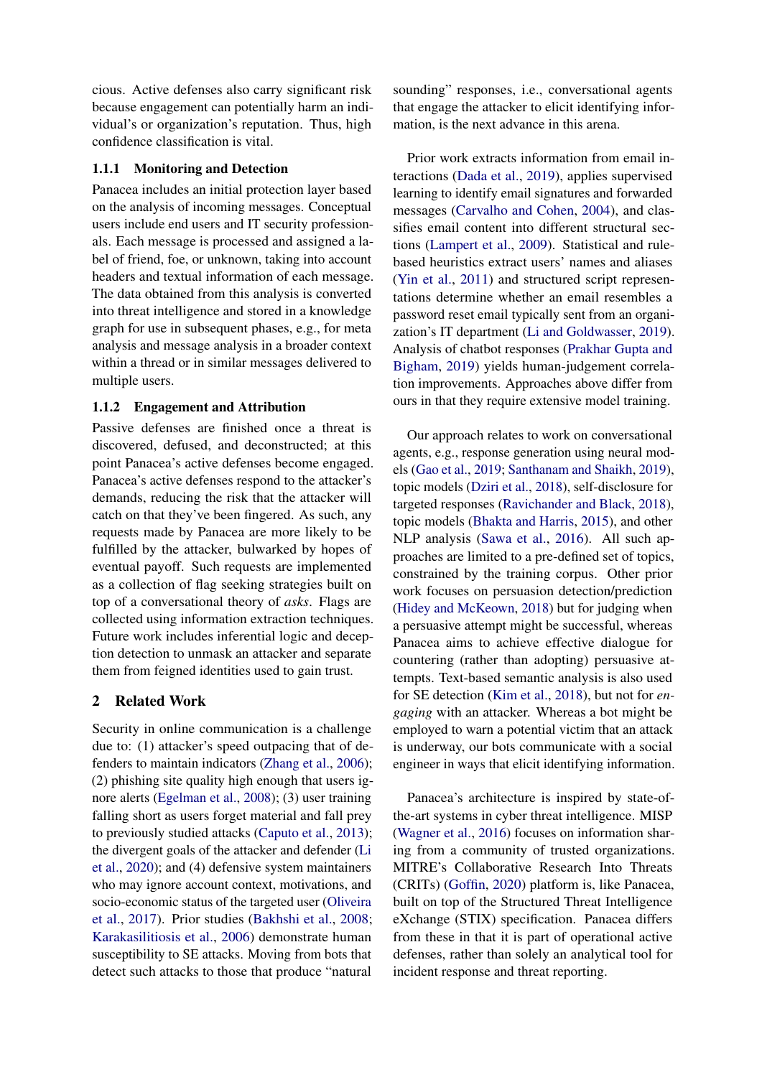cious. Active defenses also carry significant risk because engagement can potentially harm an individual's or organization's reputation. Thus, high confidence classification is vital.

## 1.1.1 Monitoring and Detection

Panacea includes an initial protection layer based on the analysis of incoming messages. Conceptual users include end users and IT security professionals. Each message is processed and assigned a label of friend, foe, or unknown, taking into account headers and textual information of each message. The data obtained from this analysis is converted into threat intelligence and stored in a knowledge graph for use in subsequent phases, e.g., for meta analysis and message analysis in a broader context within a thread or in similar messages delivered to multiple users.

## 1.1.2 Engagement and Attribution

Passive defenses are finished once a threat is discovered, defused, and deconstructed; at this point Panacea's active defenses become engaged. Panacea's active defenses respond to the attacker's demands, reducing the risk that the attacker will catch on that they've been fingered. As such, any requests made by Panacea are more likely to be fulfilled by the attacker, bulwarked by hopes of eventual payoff. Such requests are implemented as a collection of flag seeking strategies built on top of a conversational theory of *asks*. Flags are collected using information extraction techniques. Future work includes inferential logic and deception detection to unmask an attacker and separate them from feigned identities used to gain trust.

# 2 Related Work

Security in online communication is a challenge due to: (1) attacker's speed outpacing that of defenders to maintain indicators [\(Zhang et al.,](#page-7-0) [2006\)](#page-7-0); (2) phishing site quality high enough that users ignore alerts [\(Egelman et al.,](#page-6-3) [2008\)](#page-6-3); (3) user training falling short as users forget material and fall prey to previously studied attacks [\(Caputo et al.,](#page-6-4) [2013\)](#page-6-4); the divergent goals of the attacker and defender [\(Li](#page-7-1) [et al.,](#page-7-1) [2020\)](#page-7-1); and (4) defensive system maintainers who may ignore account context, motivations, and socio-economic status of the targeted user [\(Oliveira](#page-7-2) [et al.,](#page-7-2) [2017\)](#page-7-2). Prior studies [\(Bakhshi et al.,](#page-6-5) [2008;](#page-6-5) [Karakasilitiosis et al.,](#page-6-6) [2006\)](#page-6-6) demonstrate human susceptibility to SE attacks. Moving from bots that detect such attacks to those that produce "natural sounding" responses, i.e., conversational agents that engage the attacker to elicit identifying information, is the next advance in this arena.

Prior work extracts information from email interactions [\(Dada et al.,](#page-6-7) [2019\)](#page-6-7), applies supervised learning to identify email signatures and forwarded messages [\(Carvalho and Cohen,](#page-6-8) [2004\)](#page-6-8), and classifies email content into different structural sections [\(Lampert et al.,](#page-6-9) [2009\)](#page-6-9). Statistical and rulebased heuristics extract users' names and aliases [\(Yin et al.,](#page-7-3) [2011\)](#page-7-3) and structured script representations determine whether an email resembles a password reset email typically sent from an organization's IT department [\(Li and Goldwasser,](#page-6-10) [2019\)](#page-6-10). Analysis of chatbot responses [\(Prakhar Gupta and](#page-7-4) [Bigham,](#page-7-4) [2019\)](#page-7-4) yields human-judgement correlation improvements. Approaches above differ from ours in that they require extensive model training.

Our approach relates to work on conversational agents, e.g., response generation using neural models [\(Gao et al.,](#page-6-11) [2019;](#page-6-11) [Santhanam and Shaikh,](#page-7-5) [2019\)](#page-7-5), topic models [\(Dziri et al.,](#page-6-12) [2018\)](#page-6-12), self-disclosure for targeted responses [\(Ravichander and Black,](#page-7-6) [2018\)](#page-7-6), topic models [\(Bhakta and Harris,](#page-6-13) [2015\)](#page-6-13), and other NLP analysis [\(Sawa et al.,](#page-7-7) [2016\)](#page-7-7). All such approaches are limited to a pre-defined set of topics, constrained by the training corpus. Other prior work focuses on persuasion detection/prediction [\(Hidey and McKeown,](#page-6-14) [2018\)](#page-6-14) but for judging when a persuasive attempt might be successful, whereas Panacea aims to achieve effective dialogue for countering (rather than adopting) persuasive attempts. Text-based semantic analysis is also used for SE detection [\(Kim et al.,](#page-6-15) [2018\)](#page-6-15), but not for *engaging* with an attacker. Whereas a bot might be employed to warn a potential victim that an attack is underway, our bots communicate with a social engineer in ways that elicit identifying information.

Panacea's architecture is inspired by state-ofthe-art systems in cyber threat intelligence. MISP [\(Wagner et al.,](#page-7-8) [2016\)](#page-7-8) focuses on information sharing from a community of trusted organizations. MITRE's Collaborative Research Into Threats (CRITs) [\(Goffin,](#page-6-16) [2020\)](#page-6-16) platform is, like Panacea, built on top of the Structured Threat Intelligence eXchange (STIX) specification. Panacea differs from these in that it is part of operational active defenses, rather than solely an analytical tool for incident response and threat reporting.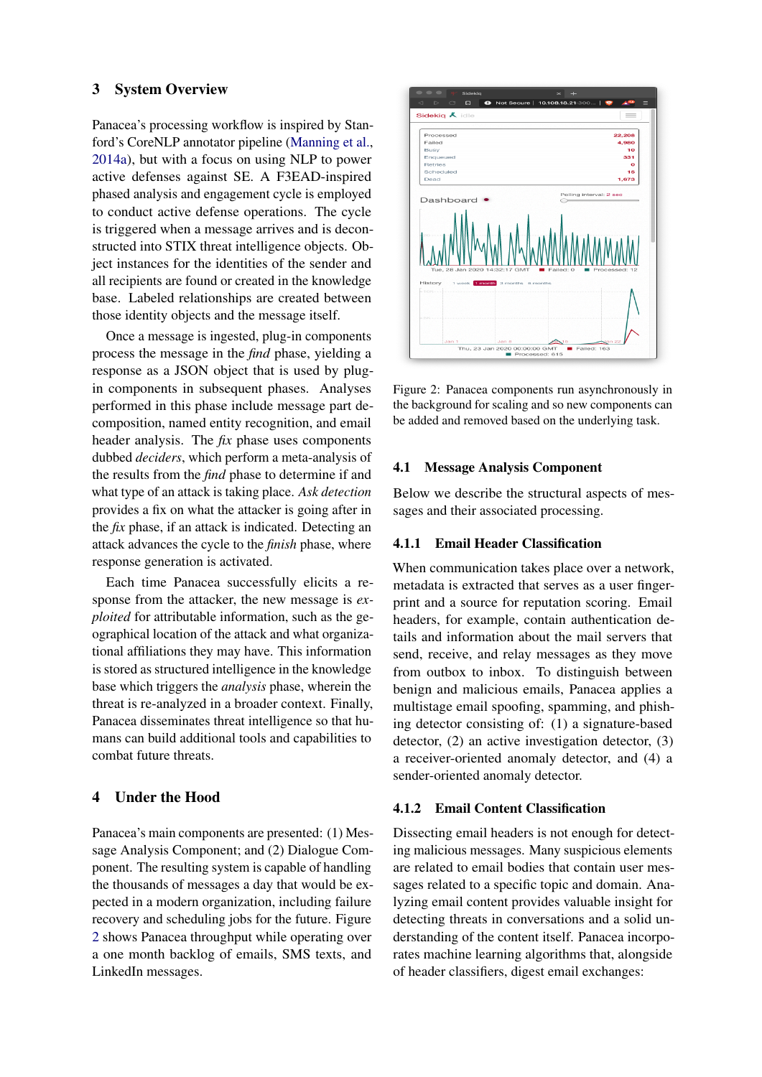# 3 System Overview

Panacea's processing workflow is inspired by Stanford's CoreNLP annotator pipeline [\(Manning et al.,](#page-7-9) [2014a\)](#page-7-9), but with a focus on using NLP to power active defenses against SE. A F3EAD-inspired phased analysis and engagement cycle is employed to conduct active defense operations. The cycle is triggered when a message arrives and is deconstructed into STIX threat intelligence objects. Object instances for the identities of the sender and all recipients are found or created in the knowledge base. Labeled relationships are created between those identity objects and the message itself.

Once a message is ingested, plug-in components process the message in the *find* phase, yielding a response as a JSON object that is used by plugin components in subsequent phases. Analyses performed in this phase include message part decomposition, named entity recognition, and email header analysis. The *fix* phase uses components dubbed *deciders*, which perform a meta-analysis of the results from the *find* phase to determine if and what type of an attack is taking place. *Ask detection* provides a fix on what the attacker is going after in the *fix* phase, if an attack is indicated. Detecting an attack advances the cycle to the *finish* phase, where response generation is activated.

Each time Panacea successfully elicits a response from the attacker, the new message is *exploited* for attributable information, such as the geographical location of the attack and what organizational affiliations they may have. This information is stored as structured intelligence in the knowledge base which triggers the *analysis* phase, wherein the threat is re-analyzed in a broader context. Finally, Panacea disseminates threat intelligence so that humans can build additional tools and capabilities to combat future threats.

# 4 Under the Hood

Panacea's main components are presented: (1) Message Analysis Component; and (2) Dialogue Component. The resulting system is capable of handling the thousands of messages a day that would be expected in a modern organization, including failure recovery and scheduling jobs for the future. Figure [2](#page-2-0) shows Panacea throughput while operating over a one month backlog of emails, SMS texts, and LinkedIn messages.

<span id="page-2-0"></span>

Figure 2: Panacea components run asynchronously in the background for scaling and so new components can be added and removed based on the underlying task.

### 4.1 Message Analysis Component

Below we describe the structural aspects of messages and their associated processing.

## 4.1.1 Email Header Classification

When communication takes place over a network, metadata is extracted that serves as a user fingerprint and a source for reputation scoring. Email headers, for example, contain authentication details and information about the mail servers that send, receive, and relay messages as they move from outbox to inbox. To distinguish between benign and malicious emails, Panacea applies a multistage email spoofing, spamming, and phishing detector consisting of: (1) a signature-based detector, (2) an active investigation detector, (3) a receiver-oriented anomaly detector, and (4) a sender-oriented anomaly detector.

### 4.1.2 Email Content Classification

Dissecting email headers is not enough for detecting malicious messages. Many suspicious elements are related to email bodies that contain user messages related to a specific topic and domain. Analyzing email content provides valuable insight for detecting threats in conversations and a solid understanding of the content itself. Panacea incorporates machine learning algorithms that, alongside of header classifiers, digest email exchanges: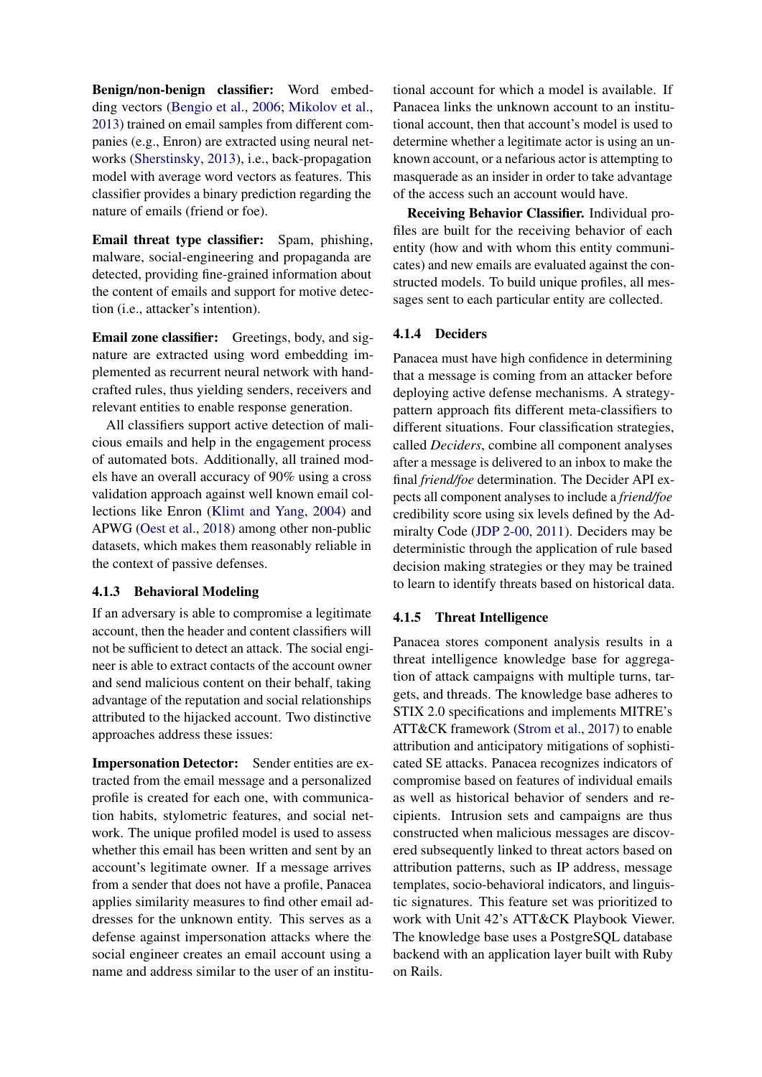Benign/non-benign classifier: Word embedding vectors [\(Bengio et al.,](#page-6-17) [2006;](#page-6-17) [Mikolov et al.,](#page-7-10) [2013\)](#page-7-10) trained on email samples from different companies (e.g., Enron) are extracted using neural networks [\(Sherstinsky,](#page-7-11) [2013\)](#page-7-11), i.e., back-propagation model with average word vectors as features. This classifier provides a binary prediction regarding the nature of emails (friend or foe).

Email threat type classifier: Spam, phishing, malware, social-engineering and propaganda are detected, providing fine-grained information about the content of emails and support for motive detection (i.e., attacker's intention).

Email zone classifier: Greetings, body, and signature are extracted using word embedding implemented as recurrent neural network with handcrafted rules, thus yielding senders, receivers and relevant entities to enable response generation.

All classifiers support active detection of malicious emails and help in the engagement process of automated bots. Additionally, all trained models have an overall accuracy of 90% using a cross validation approach against well known email collections like Enron [\(Klimt and Yang,](#page-6-18) [2004\)](#page-6-18) and APWG [\(Oest et al.,](#page-7-12) [2018\)](#page-7-12) among other non-public datasets, which makes them reasonably reliable in the context of passive defenses.

## 4.1.3 Behavioral Modeling

If an adversary is able to compromise a legitimate account, then the header and content classifiers will not be sufficient to detect an attack. The social engineer is able to extract contacts of the account owner and send malicious content on their behalf, taking advantage of the reputation and social relationships attributed to the hijacked account. Two distinctive approaches address these issues:

Impersonation Detector: Sender entities are extracted from the email message and a personalized profile is created for each one, with communication habits, stylometric features, and social network. The unique profiled model is used to assess whether this email has been written and sent by an account's legitimate owner. If a message arrives from a sender that does not have a profile, Panacea applies similarity measures to find other email addresses for the unknown entity. This serves as a defense against impersonation attacks where the social engineer creates an email account using a name and address similar to the user of an institu-

tional account for which a model is available. If Panacea links the unknown account to an institutional account, then that account's model is used to determine whether a legitimate actor is using an unknown account, or a nefarious actor is attempting to masquerade as an insider in order to take advantage of the access such an account would have.

Receiving Behavior Classifier. Individual profiles are built for the receiving behavior of each entity (how and with whom this entity communicates) and new emails are evaluated against the constructed models. To build unique profiles, all messages sent to each particular entity are collected.

# 4.1.4 Deciders

Panacea must have high confidence in determining that a message is coming from an attacker before deploying active defense mechanisms. A strategypattern approach fits different meta-classifiers to different situations. Four classification strategies, called *Deciders*, combine all component analyses after a message is delivered to an inbox to make the final *friend/foe* determination. The Decider API expects all component analyses to include a *friend/foe* credibility score using six levels defined by the Admiralty Code [\(JDP 2-00,](#page-6-19) [2011\)](#page-6-19). Deciders may be deterministic through the application of rule based decision making strategies or they may be trained to learn to identify threats based on historical data.

## 4.1.5 Threat Intelligence

Panacea stores component analysis results in a threat intelligence knowledge base for aggregation of attack campaigns with multiple turns, targets, and threads. The knowledge base adheres to STIX 2.0 specifications and implements MITRE's ATT&CK framework [\(Strom et al.,](#page-7-13) [2017\)](#page-7-13) to enable attribution and anticipatory mitigations of sophisticated SE attacks. Panacea recognizes indicators of compromise based on features of individual emails as well as historical behavior of senders and recipients. Intrusion sets and campaigns are thus constructed when malicious messages are discovered subsequently linked to threat actors based on attribution patterns, such as IP address, message templates, socio-behavioral indicators, and linguistic signatures. This feature set was prioritized to work with Unit 42's ATT&CK Playbook Viewer. The knowledge base uses a PostgreSQL database backend with an application layer built with Ruby on Rails.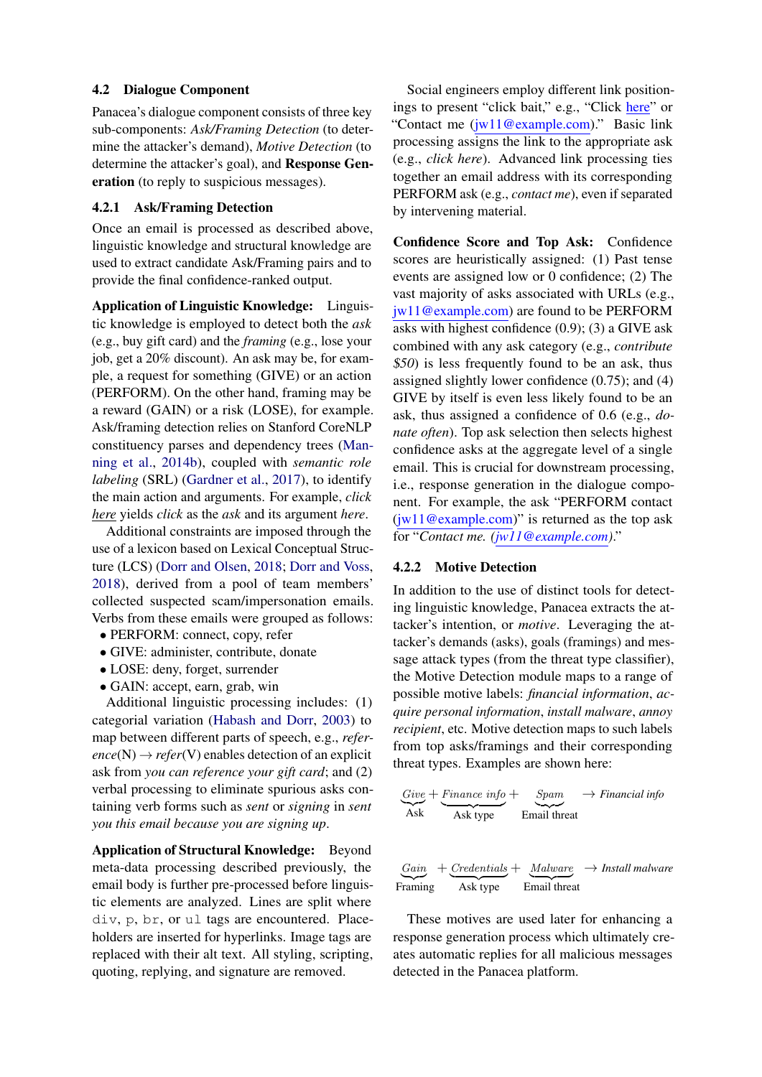## 4.2 Dialogue Component

Panacea's dialogue component consists of three key sub-components: *Ask/Framing Detection* (to determine the attacker's demand), *Motive Detection* (to determine the attacker's goal), and Response Generation (to reply to suspicious messages).

#### 4.2.1 Ask/Framing Detection

Once an email is processed as described above, linguistic knowledge and structural knowledge are used to extract candidate Ask/Framing pairs and to provide the final confidence-ranked output.

Application of Linguistic Knowledge: Linguistic knowledge is employed to detect both the *ask* (e.g., buy gift card) and the *framing* (e.g., lose your job, get a 20% discount). An ask may be, for example, a request for something (GIVE) or an action (PERFORM). On the other hand, framing may be a reward (GAIN) or a risk (LOSE), for example. Ask/framing detection relies on Stanford CoreNLP constituency parses and dependency trees [\(Man](#page-7-14)[ning et al.,](#page-7-14) [2014b\)](#page-7-14), coupled with *semantic role labeling* (SRL) [\(Gardner et al.,](#page-6-20) [2017\)](#page-6-20), to identify the main action and arguments. For example, *click here* yields *click* as the *ask* and its argument *here*.

Additional constraints are imposed through the use of a lexicon based on Lexical Conceptual Structure (LCS) [\(Dorr and Olsen,](#page-6-21) [2018;](#page-6-21) [Dorr and Voss,](#page-6-22) [2018\)](#page-6-22), derived from a pool of team members' collected suspected scam/impersonation emails. Verbs from these emails were grouped as follows:

- PERFORM: connect, copy, refer
- GIVE: administer, contribute, donate
- LOSE: deny, forget, surrender
- GAIN: accept, earn, grab, win

Additional linguistic processing includes: (1) categorial variation [\(Habash and Dorr,](#page-6-23) [2003\)](#page-6-23) to map between different parts of speech, e.g., *refer* $ence(N) \rightarrow refer(V)$  enables detection of an explicit ask from *you can reference your gift card*; and (2) verbal processing to eliminate spurious asks containing verb forms such as *sent* or *signing* in *sent you this email because you are signing up*.

Application of Structural Knowledge: Beyond meta-data processing described previously, the email body is further pre-processed before linguistic elements are analyzed. Lines are split where div, p, br, or ul tags are encountered. Placeholders are inserted for hyperlinks. Image tags are replaced with their alt text. All styling, scripting, quoting, replying, and signature are removed.

Social engineers employ different link positionings to present "click bait," e.g., "Click here" or "Contact me (jw11@example.com)." Basic link processing assigns the link to the appropriate ask (e.g., *click here*). Advanced link processing ties together an email address with its corresponding PERFORM ask (e.g., *contact me*), even if separated by intervening material.

Confidence Score and Top Ask: Confidence scores are heuristically assigned: (1) Past tense events are assigned low or 0 confidence; (2) The vast majority of asks associated with URLs (e.g., jw11@example.com) are found to be PERFORM asks with highest confidence (0.9); (3) a GIVE ask combined with any ask category (e.g., *contribute* \$*50*) is less frequently found to be an ask, thus assigned slightly lower confidence (0.75); and (4) GIVE by itself is even less likely found to be an ask, thus assigned a confidence of 0.6 (e.g., *donate often*). Top ask selection then selects highest confidence asks at the aggregate level of a single email. This is crucial for downstream processing, i.e., response generation in the dialogue component. For example, the ask "PERFORM contact  $(iw11@example.com)"$  is returned as the top ask for "*Contact me. (jw11@example.com)*."

# 4.2.2 Motive Detection

In addition to the use of distinct tools for detecting linguistic knowledge, Panacea extracts the attacker's intention, or *motive*. Leveraging the attacker's demands (asks), goals (framings) and message attack types (from the threat type classifier), the Motive Detection module maps to a range of possible motive labels: *financial information*, *acquire personal information*, *install malware*, *annoy recipient*, etc. Motive detection maps to such labels from top asks/framings and their corresponding threat types. Examples are shown here:

$$
\frac{Give}{Ask} + \frac{Finance\ info}{Ask\ type} + \frac{Span}{Email\ thread}
$$

$$
\underbrace{Gain}_{\text{Framing}} + \underbrace{Credentials}_{\text{Ask type}} + \underbrace{Malware}_{\text{Email threat}} \rightarrow \text{Insball} \text{ malware}
$$

These motives are used later for enhancing a response generation process which ultimately creates automatic replies for all malicious messages detected in the Panacea platform.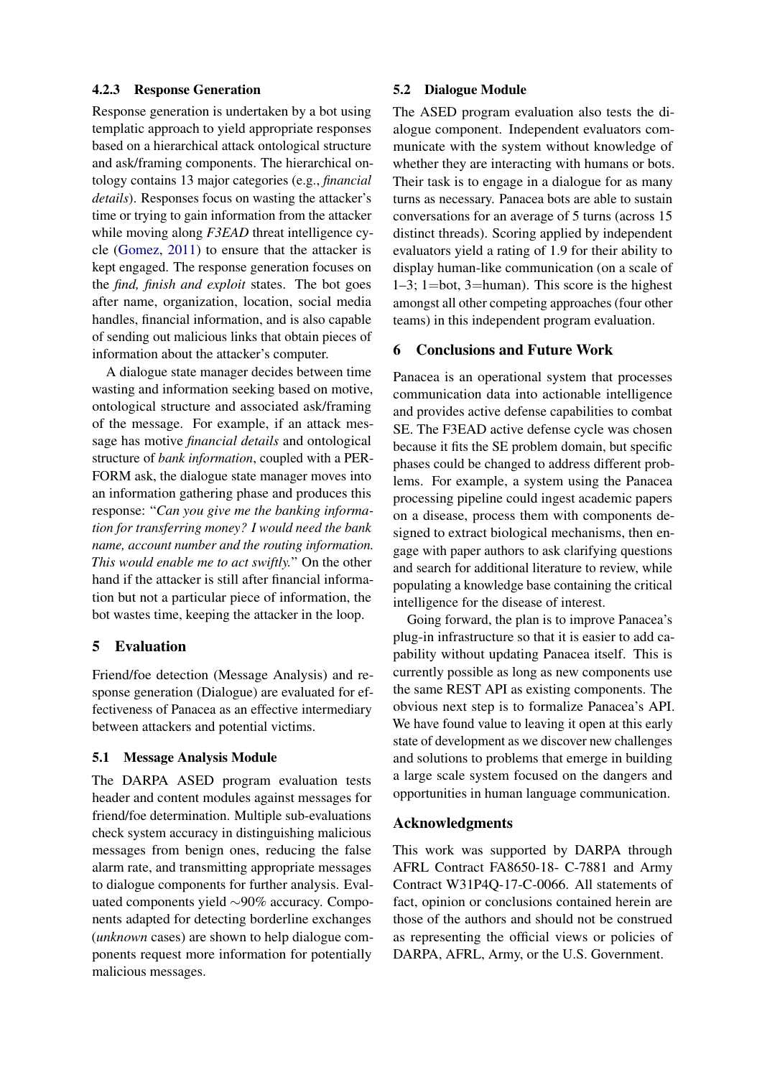## 4.2.3 Response Generation

Response generation is undertaken by a bot using templatic approach to yield appropriate responses based on a hierarchical attack ontological structure and ask/framing components. The hierarchical ontology contains 13 major categories (e.g., *financial details*). Responses focus on wasting the attacker's time or trying to gain information from the attacker while moving along *F3EAD* threat intelligence cycle [\(Gomez,](#page-6-2) [2011\)](#page-6-2) to ensure that the attacker is kept engaged. The response generation focuses on the *find, finish and exploit* states. The bot goes after name, organization, location, social media handles, financial information, and is also capable of sending out malicious links that obtain pieces of information about the attacker's computer.

A dialogue state manager decides between time wasting and information seeking based on motive, ontological structure and associated ask/framing of the message. For example, if an attack message has motive *financial details* and ontological structure of *bank information*, coupled with a PER-FORM ask, the dialogue state manager moves into an information gathering phase and produces this response: "*Can you give me the banking information for transferring money? I would need the bank name, account number and the routing information. This would enable me to act swiftly.*" On the other hand if the attacker is still after financial information but not a particular piece of information, the bot wastes time, keeping the attacker in the loop.

## 5 Evaluation

Friend/foe detection (Message Analysis) and response generation (Dialogue) are evaluated for effectiveness of Panacea as an effective intermediary between attackers and potential victims.

## 5.1 Message Analysis Module

The DARPA ASED program evaluation tests header and content modules against messages for friend/foe determination. Multiple sub-evaluations check system accuracy in distinguishing malicious messages from benign ones, reducing the false alarm rate, and transmitting appropriate messages to dialogue components for further analysis. Evaluated components yield ∼90% accuracy. Components adapted for detecting borderline exchanges (*unknown* cases) are shown to help dialogue components request more information for potentially malicious messages.

### 5.2 Dialogue Module

The ASED program evaluation also tests the dialogue component. Independent evaluators communicate with the system without knowledge of whether they are interacting with humans or bots. Their task is to engage in a dialogue for as many turns as necessary. Panacea bots are able to sustain conversations for an average of 5 turns (across 15 distinct threads). Scoring applied by independent evaluators yield a rating of 1.9 for their ability to display human-like communication (on a scale of 1–3; 1=bot, 3=human). This score is the highest amongst all other competing approaches (four other teams) in this independent program evaluation.

## 6 Conclusions and Future Work

Panacea is an operational system that processes communication data into actionable intelligence and provides active defense capabilities to combat SE. The F3EAD active defense cycle was chosen because it fits the SE problem domain, but specific phases could be changed to address different problems. For example, a system using the Panacea processing pipeline could ingest academic papers on a disease, process them with components designed to extract biological mechanisms, then engage with paper authors to ask clarifying questions and search for additional literature to review, while populating a knowledge base containing the critical intelligence for the disease of interest.

Going forward, the plan is to improve Panacea's plug-in infrastructure so that it is easier to add capability without updating Panacea itself. This is currently possible as long as new components use the same REST API as existing components. The obvious next step is to formalize Panacea's API. We have found value to leaving it open at this early state of development as we discover new challenges and solutions to problems that emerge in building a large scale system focused on the dangers and opportunities in human language communication.

### Acknowledgments

This work was supported by DARPA through AFRL Contract FA8650-18- C-7881 and Army Contract W31P4Q-17-C-0066. All statements of fact, opinion or conclusions contained herein are those of the authors and should not be construed as representing the official views or policies of DARPA, AFRL, Army, or the U.S. Government.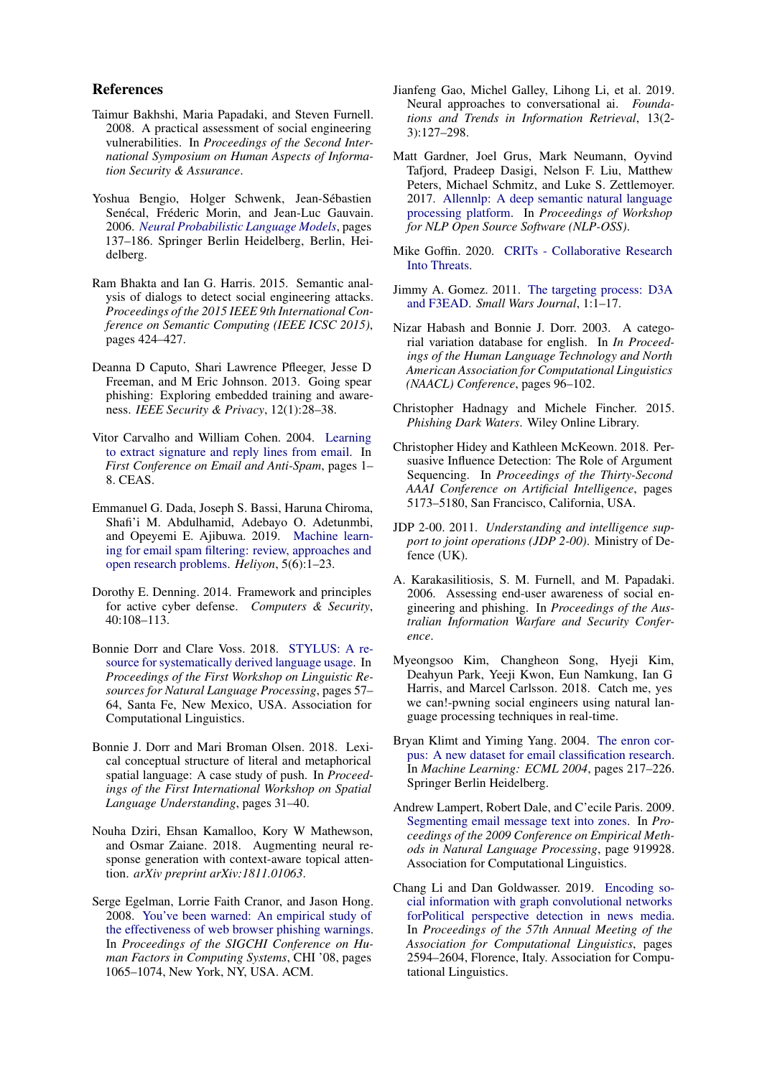### References

- <span id="page-6-5"></span>Taimur Bakhshi, Maria Papadaki, and Steven Furnell. 2008. A practical assessment of social engineering vulnerabilities. In *Proceedings of the Second International Symposium on Human Aspects of Information Security & Assurance*.
- <span id="page-6-17"></span>Yoshua Bengio, Holger Schwenk, Jean-Sébastien Senécal, Fréderic Morin, and Jean-Luc Gauvain. 2006. *[Neural Probabilistic Language Models](https://doi.org/10.1007/3-540-33486-6_6)*, pages 137–186. Springer Berlin Heidelberg, Berlin, Heidelberg.
- <span id="page-6-13"></span>Ram Bhakta and Ian G. Harris. 2015. Semantic analysis of dialogs to detect social engineering attacks. *Proceedings of the 2015 IEEE 9th International Conference on Semantic Computing (IEEE ICSC 2015)*, pages 424–427.
- <span id="page-6-4"></span>Deanna D Caputo, Shari Lawrence Pfleeger, Jesse D Freeman, and M Eric Johnson. 2013. Going spear phishing: Exploring embedded training and awareness. *IEEE Security & Privacy*, 12(1):28–38.
- <span id="page-6-8"></span>Vitor Carvalho and William Cohen. 2004. [Learning](https://www.cs.cmu.edu/~wcohen/postscript/email-2004.pdf) [to extract signature and reply lines from email.](https://www.cs.cmu.edu/~wcohen/postscript/email-2004.pdf) In *First Conference on Email and Anti-Spam*, pages 1– 8. CEAS.
- <span id="page-6-7"></span>Emmanuel G. Dada, Joseph S. Bassi, Haruna Chiroma, Shafi'i M. Abdulhamid, Adebayo O. Adetunmbi, and Opeyemi E. Ajibuwa. 2019. [Machine learn](https://doi.org/10.1016/j.heliyon.2019.e01802)[ing for email spam filtering: review, approaches and](https://doi.org/10.1016/j.heliyon.2019.e01802) [open research problems.](https://doi.org/10.1016/j.heliyon.2019.e01802) *Heliyon*, 5(6):1–23.
- <span id="page-6-0"></span>Dorothy E. Denning. 2014. Framework and principles for active cyber defense. *Computers & Security*, 40:108–113.
- <span id="page-6-22"></span>Bonnie Dorr and Clare Voss. 2018. [STYLUS: A re](https://www.aclweb.org/anthology/W18-3808)[source for systematically derived language usage.](https://www.aclweb.org/anthology/W18-3808) In *Proceedings of the First Workshop on Linguistic Resources for Natural Language Processing*, pages 57– 64, Santa Fe, New Mexico, USA. Association for Computational Linguistics.
- <span id="page-6-21"></span>Bonnie J. Dorr and Mari Broman Olsen. 2018. Lexical conceptual structure of literal and metaphorical spatial language: A case study of push. In *Proceedings of the First International Workshop on Spatial Language Understanding*, pages 31–40.
- <span id="page-6-12"></span>Nouha Dziri, Ehsan Kamalloo, Kory W Mathewson, and Osmar Zaiane. 2018. Augmenting neural response generation with context-aware topical attention. *arXiv preprint arXiv:1811.01063*.
- <span id="page-6-3"></span>Serge Egelman, Lorrie Faith Cranor, and Jason Hong. 2008. [You've been warned: An empirical study of](https://doi.org/10.1145/1357054.1357219) [the effectiveness of web browser phishing warnings.](https://doi.org/10.1145/1357054.1357219) In *Proceedings of the SIGCHI Conference on Human Factors in Computing Systems*, CHI '08, pages 1065–1074, New York, NY, USA. ACM.
- <span id="page-6-11"></span>Jianfeng Gao, Michel Galley, Lihong Li, et al. 2019. Neural approaches to conversational ai. *Foundations and Trends in Information Retrieval*, 13(2- 3):127–298.
- <span id="page-6-20"></span>Matt Gardner, Joel Grus, Mark Neumann, Oyvind Tafjord, Pradeep Dasigi, Nelson F. Liu, Matthew Peters, Michael Schmitz, and Luke S. Zettlemoyer. 2017. [Allennlp: A deep semantic natural language](http://arxiv.org/abs/arXiv:1803.07640) [processing platform.](http://arxiv.org/abs/arXiv:1803.07640) In *Proceedings of Workshop for NLP Open Source Software (NLP-OSS)*.
- <span id="page-6-16"></span>Mike Goffin. 2020. [CRITs - Collaborative Research](https://github.com/crits/crits) [Into Threats.](https://github.com/crits/crits)
- <span id="page-6-2"></span>Jimmy A. Gomez. 2011. [The targeting process: D3A](https://smallwarsjournal.com/blog/journal/docs-temp/816-gomez.pdf) [and F3EAD.](https://smallwarsjournal.com/blog/journal/docs-temp/816-gomez.pdf) *Small Wars Journal*, 1:1–17.
- <span id="page-6-23"></span>Nizar Habash and Bonnie J. Dorr. 2003. A categorial variation database for english. In *In Proceedings of the Human Language Technology and North American Association for Computational Linguistics (NAACL) Conference*, pages 96–102.
- <span id="page-6-1"></span>Christopher Hadnagy and Michele Fincher. 2015. *Phishing Dark Waters*. Wiley Online Library.
- <span id="page-6-14"></span>Christopher Hidey and Kathleen McKeown. 2018. Persuasive Influence Detection: The Role of Argument Sequencing. In *Proceedings of the Thirty-Second AAAI Conference on Artificial Intelligence*, pages 5173–5180, San Francisco, California, USA.
- <span id="page-6-19"></span>JDP 2-00. 2011. *Understanding and intelligence support to joint operations (JDP 2-00)*. Ministry of Defence (UK).
- <span id="page-6-6"></span>A. Karakasilitiosis, S. M. Furnell, and M. Papadaki. 2006. Assessing end-user awareness of social engineering and phishing. In *Proceedings of the Australian Information Warfare and Security Conference*.
- <span id="page-6-15"></span>Myeongsoo Kim, Changheon Song, Hyeji Kim, Deahyun Park, Yeeji Kwon, Eun Namkung, Ian G Harris, and Marcel Carlsson. 2018. Catch me, yes we can!-pwning social engineers using natural language processing techniques in real-time.
- <span id="page-6-18"></span>Bryan Klimt and Yiming Yang. 2004. [The enron cor](https://doi.org/10.1007/978-3-540-30115-8_22)[pus: A new dataset for email classification research.](https://doi.org/10.1007/978-3-540-30115-8_22) In *Machine Learning: ECML 2004*, pages 217–226. Springer Berlin Heidelberg.
- <span id="page-6-9"></span>Andrew Lampert, Robert Dale, and C'ecile Paris. 2009. [Segmenting email message text into zones.](https://www.aclweb.org/anthology/D09-1096) In *Proceedings of the 2009 Conference on Empirical Methods in Natural Language Processing*, page 919928. Association for Computational Linguistics.
- <span id="page-6-10"></span>Chang Li and Dan Goldwasser. 2019. [Encoding so](https://doi.org/10.18653/v1/P19-1247)[cial information with graph convolutional networks](https://doi.org/10.18653/v1/P19-1247) [forPolitical perspective detection in news media.](https://doi.org/10.18653/v1/P19-1247) In *Proceedings of the 57th Annual Meeting of the Association for Computational Linguistics*, pages 2594–2604, Florence, Italy. Association for Computational Linguistics.